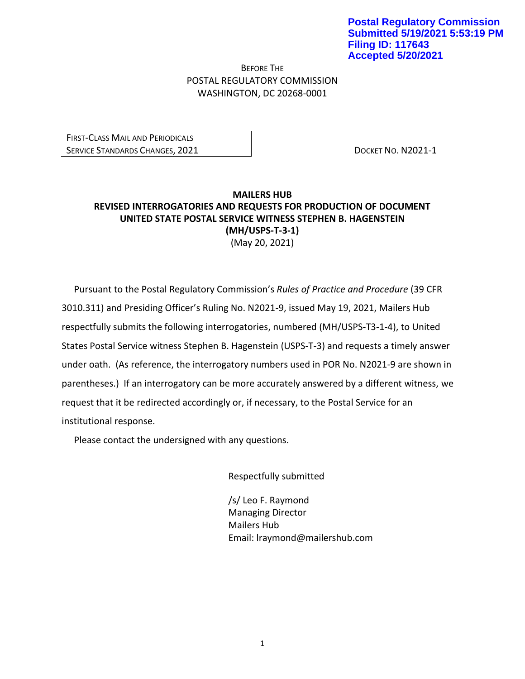BEFORE THE POSTAL REGULATORY COMMISSION WASHINGTON, DC 20268-0001

FIRST-CLASS MAIL AND PERIODICALS SERVICE STANDARDS CHANGES, 2021 **DOCKET NO. N2021-1** 

## **MAILERS HUB REVISED INTERROGATORIES AND REQUESTS FOR PRODUCTION OF DOCUMENT UNITED STATE POSTAL SERVICE WITNESS STEPHEN B. HAGENSTEIN (MH/USPS-T-3-1)** (May 20, 2021)

Pursuant to the Postal Regulatory Commission's *Rules of Practice and Procedure* (39 CFR 3010.311) and Presiding Officer's Ruling No. N2021-9, issued May 19, 2021, Mailers Hub respectfully submits the following interrogatories, numbered (MH/USPS-T3-1-4), to United States Postal Service witness Stephen B. Hagenstein (USPS-T-3) and requests a timely answer under oath. (As reference, the interrogatory numbers used in POR No. N2021-9 are shown in parentheses.) If an interrogatory can be more accurately answered by a different witness, we request that it be redirected accordingly or, if necessary, to the Postal Service for an institutional response.

Please contact the undersigned with any questions.

Respectfully submitted

/s/ Leo F. Raymond Managing Director Mailers Hub Email: lraymond@mailershub.com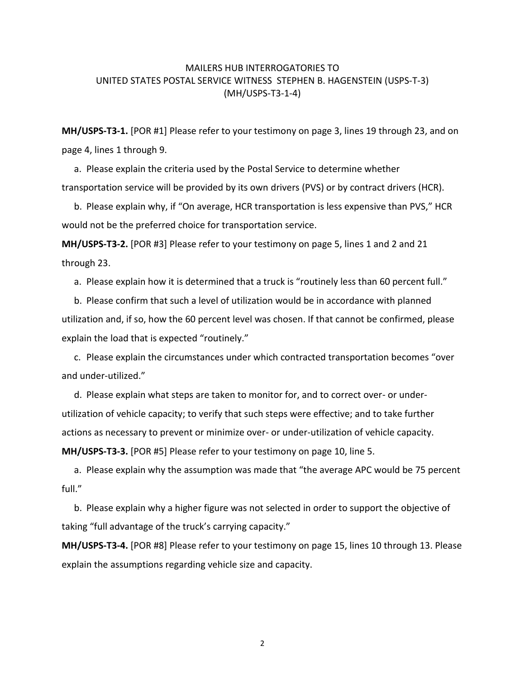## MAILERS HUB INTERROGATORIES TO UNITED STATES POSTAL SERVICE WITNESS STEPHEN B. HAGENSTEIN (USPS-T-3) (MH/USPS-T3-1-4)

**MH/USPS-T3-1.** [POR #1] Please refer to your testimony on page 3, lines 19 through 23, and on page 4, lines 1 through 9.

a. Please explain the criteria used by the Postal Service to determine whether transportation service will be provided by its own drivers (PVS) or by contract drivers (HCR).

b. Please explain why, if "On average, HCR transportation is less expensive than PVS," HCR would not be the preferred choice for transportation service.

**MH/USPS-T3-2.** [POR #3] Please refer to your testimony on page 5, lines 1 and 2 and 21 through 23.

a. Please explain how it is determined that a truck is "routinely less than 60 percent full."

b. Please confirm that such a level of utilization would be in accordance with planned utilization and, if so, how the 60 percent level was chosen. If that cannot be confirmed, please explain the load that is expected "routinely."

c. Please explain the circumstances under which contracted transportation becomes "over and under-utilized."

d. Please explain what steps are taken to monitor for, and to correct over- or underutilization of vehicle capacity; to verify that such steps were effective; and to take further actions as necessary to prevent or minimize over- or under-utilization of vehicle capacity. **MH/USPS-T3-3.** [POR #5] Please refer to your testimony on page 10, line 5.

a. Please explain why the assumption was made that "the average APC would be 75 percent full."

b. Please explain why a higher figure was not selected in order to support the objective of taking "full advantage of the truck's carrying capacity."

**MH/USPS-T3-4.** [POR #8] Please refer to your testimony on page 15, lines 10 through 13. Please explain the assumptions regarding vehicle size and capacity.

2